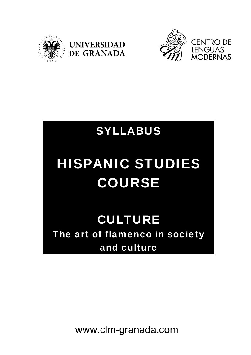



## SYLLABUS

# HISPANIC STUDIES COURSE

CULTURE The art of flamenco in society and culture

www.clm-granada.com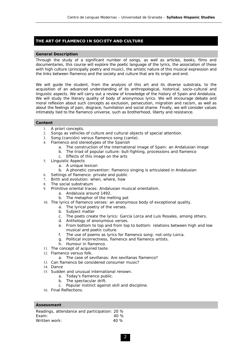### **THE ART OF FLAMENCO IN SOCIETY AND CULTURE**

#### **General Description**

Through the study of a significant number of songs, as well as articles, books, films and documentaries, this course will explore the poetic language of the lyrics, the association of these with high culture (principally poetry and music), the artistic nature of this musical expression and the links between flamenco and the society and culture that are its origin and end.

We will guide the student, from the analysis of this art and its diverse substrata, to the acquisition of an advanced understanding of its anthropological, historical, socio-cultural and linguistic aspects. We will carry out a review of knowledge of the history of Spain and Andalusia. We will study the literary quality of body of anonymous lyrics. We will encourage debate and moral reflexion about such concepts as exclusion, persecution, migration and racism, as well as about the feelings of pain, disgrace, humiliation and social shame. Finally, we will consider values intimately tied to the flamenco universe, such as brotherhood, liberty and resistance.

#### **Content**

- 1. *A priori* concepts.
- 2. Songs as vehicles of culture and cultural objects of special attention.
- 3. Song (*canción*) versus flamenco song (*cante*).
- 4. Flamenco and stereotypes of the Spanish
	- a. The construction of the international image of Spain: an Andalusian image
	- b. The triad of popular culture: bull-fighting, processions and flamenco
	- c. Effects of this image on the arts
- 5. Linguistic Aspects
	- a. A unique lexicon
- b. A phonetic convention: flamenco singing is articulated in Andalusian
- 6. Settings of flamenco: private and public
- 7. Birth and evolution: *when, where, how*
- 8. The social substratum
- 9. Primitive oriental traces: Andalusian musical orientalism.
	- a. Andalusia around 1492.
	- b. The metaphor of the melting pot
- 10. The lyrics of flamenco verses: an anonymous body of exceptional quality.
	- a. The lyrical poetry of the verses.
	- b. Subject matter
	- c. The poets create the lyrics: García Lorca and Luis Rosales, among others.
	- d. Anthology of anonymous verses.
	- e. From bottom to top and from top to bottom: relations between high and low musical and poetic culture.
	- f. The use of poems as lyrics for flamenco song: not-only-Lorca.
	- g. Political incorrectness, flamenco and flamenco artists.
	- h. Humour in flamenco.
- 11. The concept of acquired taste.
- 12. Flamenco versus folk.
	- a. The case of sevillanas: Are sevillanas flamenco?
- 13. Can flamenco be considered consumer music?
- 14. Dance
- 15. Sudden and unusual international renown.
	- a. Today's flamenco public.
	- b. The spectacular drift.
	- c. Popular instinct against skill and discipline.
- 16. Final Reflections.

#### **Assessment**

| Readings, attendance and participation: 20 % |      |
|----------------------------------------------|------|
| Exam:                                        | 40 % |
| Written work:                                | 40%  |